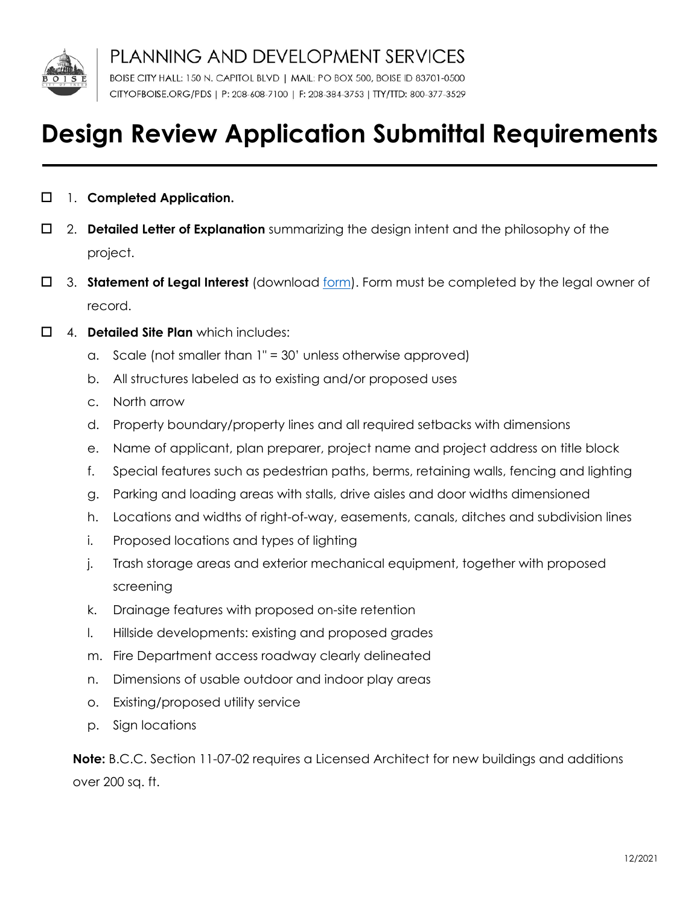

PLANNING AND DEVELOPMENT SERVICES

BOISE CITY HALL: 150 N. CAPITOL BLVD | MAIL: PO BOX 500, BOISE ID 83701-0500 CITYOFBOISE.ORG/PDS | P: 208-608-7100 | F: 208-384-3753 | TTY/TTD: 800-377-3529

## **Design Review Application Submittal Requirements**

- 1. **Completed Application.**
- 2. **Detailed Letter of Explanation** summarizing the design intent and the philosophy of the project.
- 3. **Statement of Legal Interest** (download [form\)](https://www.cityofboise.org/departments/planning-and-development-services/planning-and-zoning/applications/resources/statement-of-legal-interest/). Form must be completed by the legal owner of record.
- 4. **Detailed Site Plan** which includes:
	- a. Scale (not smaller than 1" = 30' unless otherwise approved)
	- b. All structures labeled as to existing and/or proposed uses
	- c. North arrow
	- d. Property boundary/property lines and all required setbacks with dimensions
	- e. Name of applicant, plan preparer, project name and project address on title block
	- f. Special features such as pedestrian paths, berms, retaining walls, fencing and lighting
	- g. Parking and loading areas with stalls, drive aisles and door widths dimensioned
	- h. Locations and widths of right-of-way, easements, canals, ditches and subdivision lines
	- i. Proposed locations and types of lighting
	- j. Trash storage areas and exterior mechanical equipment, together with proposed screening
	- k. Drainage features with proposed on-site retention
	- l. Hillside developments: existing and proposed grades
	- m. Fire Department access roadway clearly delineated
	- n. Dimensions of usable outdoor and indoor play areas
	- o. Existing/proposed utility service
	- p. Sign locations

**Note:** B.C.C. Section 11-07-02 requires a Licensed Architect for new buildings and additions over 200 sq. ft.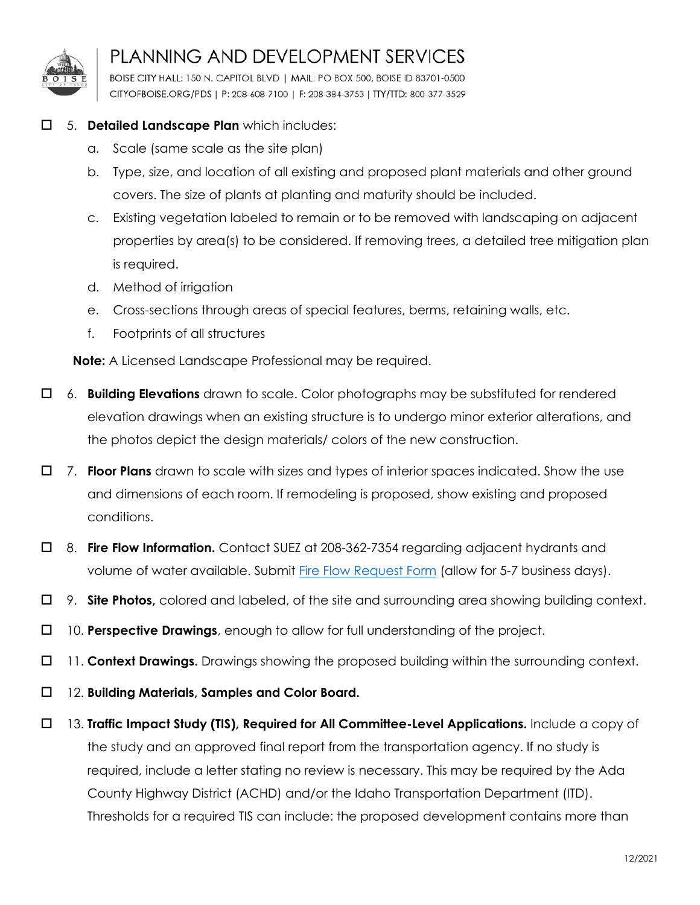

## PLANNING AND DEVELOPMENT SERVICES

BOISE CITY HALL: 150 N. CAPITOL BLVD | MAIL: PO BOX 500, BOISE ID 83701-0500 CITYOFBOISE.ORG/PDS | P: 208-608-7100 | F: 208-384-3753 | TTY/TTD: 800-377-3529

## 5. **Detailed Landscape Plan** which includes:

- a. Scale (same scale as the site plan)
- b. Type, size, and location of all existing and proposed plant materials and other ground covers. The size of plants at planting and maturity should be included.
- c. Existing vegetation labeled to remain or to be removed with landscaping on adjacent properties by area(s) to be considered. If removing trees, a detailed tree mitigation plan is required.
- d. Method of irrigation
- e. Cross-sections through areas of special features, berms, retaining walls, etc.
- f. Footprints of all structures

**Note:** A Licensed Landscape Professional may be required.

- 6. **Building Elevations** drawn to scale. Color photographs may be substituted for rendered elevation drawings when an existing structure is to undergo minor exterior alterations, and the photos depict the design materials/ colors of the new construction.
- 7. **Floor Plans** drawn to scale with sizes and types of interior spaces indicated. Show the use and dimensions of each room. If remodeling is proposed, show existing and proposed conditions.
- 8. **Fire Flow Information.** Contact SUEZ at 208-362-7354 regarding adjacent hydrants and volume of water available. Submit [Fire Flow Request Form](https://www.mysuezwater.com/support-center/idaho-engineering-form-page) (allow for 5-7 business days).
- 9. **Site Photos,** colored and labeled, of the site and surrounding area showing building context.
- 10. **Perspective Drawings**, enough to allow for full understanding of the project.
- 11. **Context Drawings.** Drawings showing the proposed building within the surrounding context.
- 12. **Building Materials, Samples and Color Board.**
- 13. **Traffic Impact Study (TIS), Required for All Committee-Level Applications.** Include a copy of the study and an approved final report from the transportation agency. If no study is required, include a letter stating no review is necessary. This may be required by the Ada County Highway District (ACHD) and/or the Idaho Transportation Department (ITD). Thresholds for a required TIS can include: the proposed development contains more than